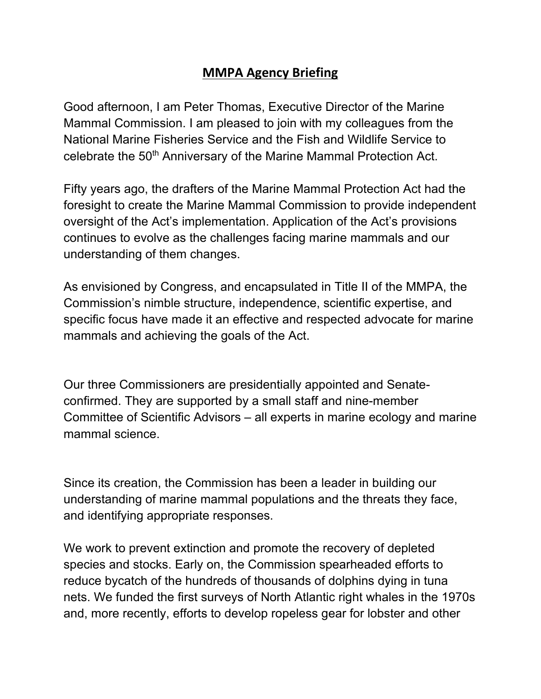## **MMPA Agency Briefing**

Good afternoon, I am Peter Thomas, Executive Director of the Marine Mammal Commission. I am pleased to join with my colleagues from the National Marine Fisheries Service and the Fish and Wildlife Service to celebrate the 50<sup>th</sup> Anniversary of the Marine Mammal Protection Act.

Fifty years ago, the drafters of the Marine Mammal Protection Act had the foresight to create the Marine Mammal Commission to provide independent oversight of the Act's implementation. Application of the Act's provisions continues to evolve as the challenges facing marine mammals and our understanding of them changes.

As envisioned by Congress, and encapsulated in Title II of the MMPA, the Commission's nimble structure, independence, scientific expertise, and specific focus have made it an effective and respected advocate for marine mammals and achieving the goals of the Act.

Our three Commissioners are presidentially appointed and Senateconfirmed. They are supported by a small staff and nine-member Committee of Scientific Advisors – all experts in marine ecology and marine mammal science.

Since its creation, the Commission has been a leader in building our understanding of marine mammal populations and the threats they face, and identifying appropriate responses.

We work to prevent extinction and promote the recovery of depleted species and stocks. Early on, the Commission spearheaded efforts to reduce bycatch of the hundreds of thousands of dolphins dying in tuna nets. We funded the first surveys of North Atlantic right whales in the 1970s and, more recently, efforts to develop ropeless gear for lobster and other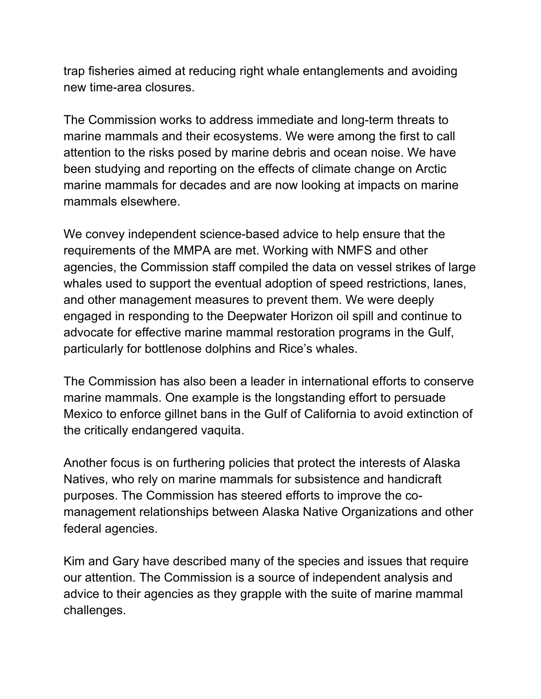trap fisheries aimed at reducing right whale entanglements and avoiding new time-area closures.

The Commission works to address immediate and long-term threats to marine mammals and their ecosystems. We were among the first to call attention to the risks posed by marine debris and ocean noise. We have been studying and reporting on the effects of climate change on Arctic marine mammals for decades and are now looking at impacts on marine mammals elsewhere.

We convey independent science-based advice to help ensure that the requirements of the MMPA are met. Working with NMFS and other agencies, the Commission staff compiled the data on vessel strikes of large whales used to support the eventual adoption of speed restrictions, lanes, and other management measures to prevent them. We were deeply engaged in responding to the Deepwater Horizon oil spill and continue to advocate for effective marine mammal restoration programs in the Gulf, particularly for bottlenose dolphins and Rice's whales.

The Commission has also been a leader in international efforts to conserve marine mammals. One example is the longstanding effort to persuade Mexico to enforce gillnet bans in the Gulf of California to avoid extinction of the critically endangered vaquita.

Another focus is on furthering policies that protect the interests of Alaska Natives, who rely on marine mammals for subsistence and handicraft purposes. The Commission has steered efforts to improve the comanagement relationships between Alaska Native Organizations and other federal agencies.

Kim and Gary have described many of the species and issues that require our attention. The Commission is a source of independent analysis and advice to their agencies as they grapple with the suite of marine mammal challenges.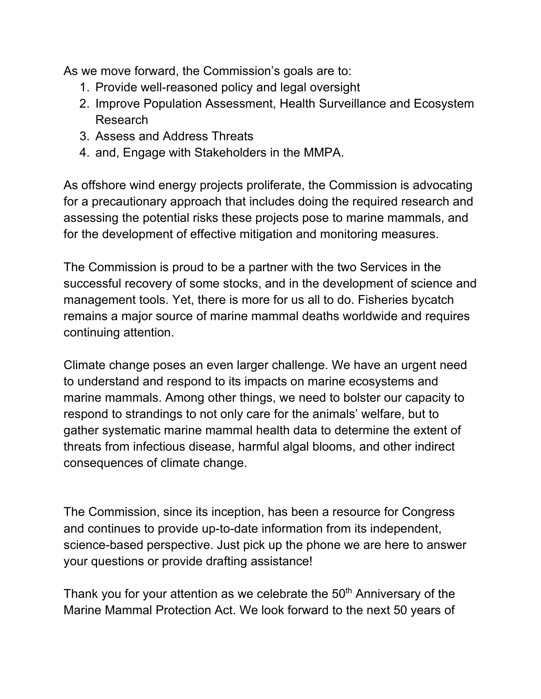As we move forward, the Commission's goals are to:

- 1. Provide well-reasoned policy and legal oversight
- 2. Improve Population Assessment, Health Surveillance and Ecosystem Research
- 3. Assess and Address Threats
- 4. and, Engage with Stakeholders in the MMPA.

As offshore wind energy projects proliferate, the Commission is advocating for a precautionary approach that includes doing the required research and assessing the potential risks these projects pose to marine mammals, and for the development of effective mitigation and monitoring measures.

The Commission is proud to be a partner with the two Services in the successful recovery of some stocks, and in the development of science and management tools. Yet, there is more for us all to do. Fisheries bycatch remains a major source of marine mammal deaths worldwide and requires continuing attention.

Climate change poses an even larger challenge. We have an urgent need to understand and respond to its impacts on marine ecosystems and marine mammals. Among other things, we need to bolster our capacity to respond to strandings to not only care for the animals' welfare, but to gather systematic marine mammal health data to determine the extent of threats from infectious disease, harmful algal blooms, and other indirect consequences of climate change.

The Commission, since its inception, has been a resource for Congress and continues to provide up-to-date information from its independent, science-based perspective. Just pick up the phone we are here to answer your questions or provide drafting assistance!

Thank you for your attention as we celebrate the  $50<sup>th</sup>$  Anniversary of the Marine Mammal Protection Act. We look forward to the next 50 years of